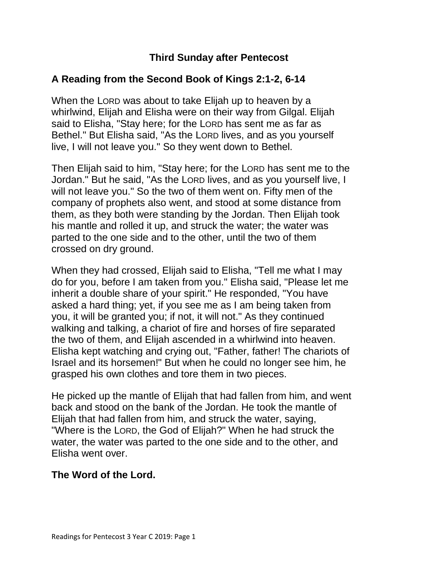### **Third Sunday after Pentecost**

### **A Reading from the Second Book of Kings 2:1-2, 6-14**

When the LORD was about to take Elijah up to heaven by a whirlwind, Elijah and Elisha were on their way from Gilgal. Elijah said to Elisha, "Stay here; for the LORD has sent me as far as Bethel." But Elisha said, "As the LORD lives, and as you yourself live, I will not leave you." So they went down to Bethel.

Then Elijah said to him, "Stay here; for the LORD has sent me to the Jordan." But he said, "As the LORD lives, and as you yourself live, I will not leave you." So the two of them went on. Fifty men of the company of prophets also went, and stood at some distance from them, as they both were standing by the Jordan. Then Elijah took his mantle and rolled it up, and struck the water; the water was parted to the one side and to the other, until the two of them crossed on dry ground.

When they had crossed, Elijah said to Elisha, "Tell me what I may do for you, before I am taken from you." Elisha said, "Please let me inherit a double share of your spirit." He responded, "You have asked a hard thing; yet, if you see me as I am being taken from you, it will be granted you; if not, it will not." As they continued walking and talking, a chariot of fire and horses of fire separated the two of them, and Elijah ascended in a whirlwind into heaven. Elisha kept watching and crying out, "Father, father! The chariots of Israel and its horsemen!" But when he could no longer see him, he grasped his own clothes and tore them in two pieces.

He picked up the mantle of Elijah that had fallen from him, and went back and stood on the bank of the Jordan. He took the mantle of Elijah that had fallen from him, and struck the water, saying, "Where is the LORD, the God of Elijah?" When he had struck the water, the water was parted to the one side and to the other, and Elisha went over.

#### **The Word of the Lord.**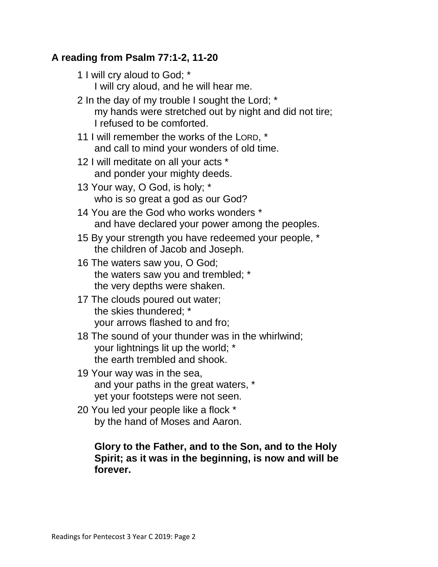# **A reading from Psalm 77:1-2, 11-20**

1 I will cry aloud to God; \*

I will cry aloud, and he will hear me.

- 2 In the day of my trouble I sought the Lord; \* my hands were stretched out by night and did not tire; I refused to be comforted.
- 11 I will remember the works of the LORD, \* and call to mind your wonders of old time.
- 12 I will meditate on all your acts \* and ponder your mighty deeds.
- 13 Your way, O God, is holy; \* who is so great a god as our God?
- 14 You are the God who works wonders \* and have declared your power among the peoples.
- 15 By your strength you have redeemed your people, \* the children of Jacob and Joseph.
- 16 The waters saw you, O God; the waters saw you and trembled; \* the very depths were shaken.
- 17 The clouds poured out water; the skies thundered; \* your arrows flashed to and fro;
- 18 The sound of your thunder was in the whirlwind; your lightnings lit up the world; \* the earth trembled and shook.
- 19 Your way was in the sea, and your paths in the great waters, \* yet your footsteps were not seen.
- 20 You led your people like a flock \* by the hand of Moses and Aaron.

### **Glory to the Father, and to the Son, and to the Holy Spirit; as it was in the beginning, is now and will be forever.**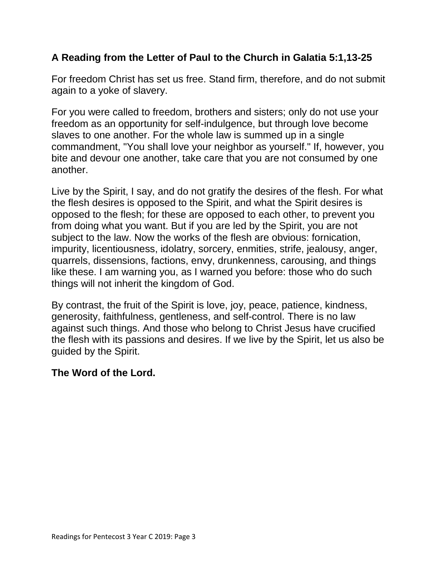# **A Reading from the Letter of Paul to the Church in Galatia 5:1,13-25**

For freedom Christ has set us free. Stand firm, therefore, and do not submit again to a yoke of slavery.

For you were called to freedom, brothers and sisters; only do not use your freedom as an opportunity for self-indulgence, but through love become slaves to one another. For the whole law is summed up in a single commandment, "You shall love your neighbor as yourself." If, however, you bite and devour one another, take care that you are not consumed by one another.

Live by the Spirit, I say, and do not gratify the desires of the flesh. For what the flesh desires is opposed to the Spirit, and what the Spirit desires is opposed to the flesh; for these are opposed to each other, to prevent you from doing what you want. But if you are led by the Spirit, you are not subject to the law. Now the works of the flesh are obvious: fornication, impurity, licentiousness, idolatry, sorcery, enmities, strife, jealousy, anger, quarrels, dissensions, factions, envy, drunkenness, carousing, and things like these. I am warning you, as I warned you before: those who do such things will not inherit the kingdom of God.

By contrast, the fruit of the Spirit is love, joy, peace, patience, kindness, generosity, faithfulness, gentleness, and self-control. There is no law against such things. And those who belong to Christ Jesus have crucified the flesh with its passions and desires. If we live by the Spirit, let us also be guided by the Spirit.

### **The Word of the Lord.**